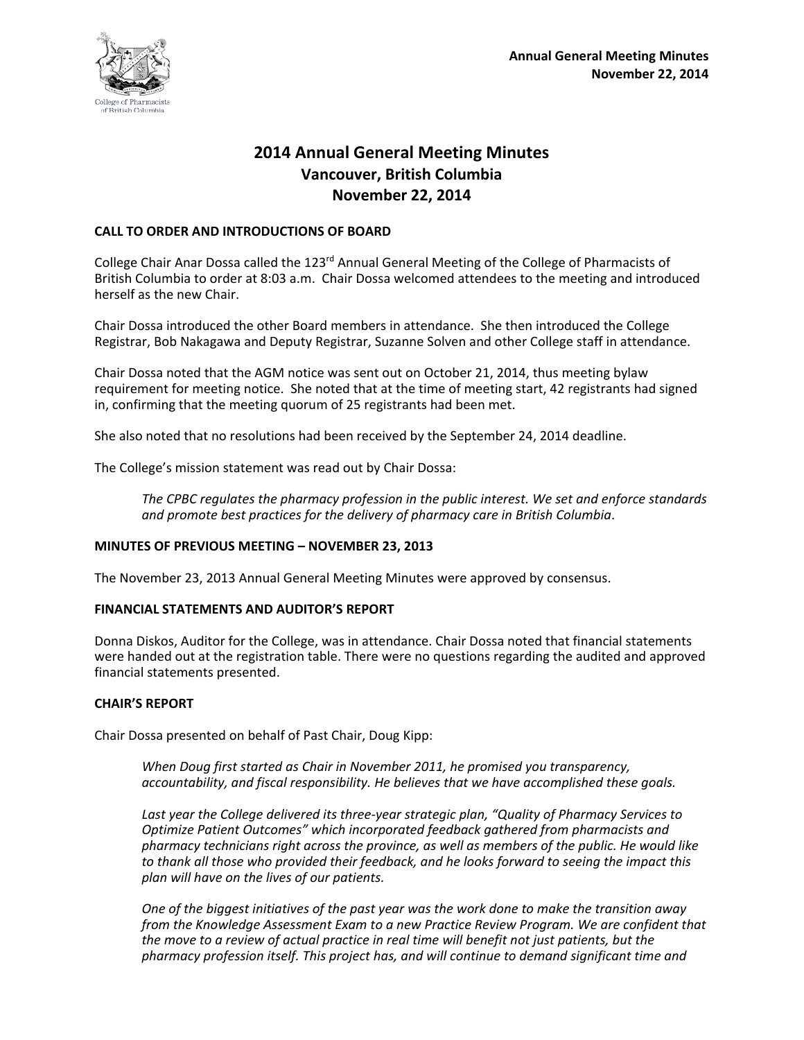

# **2014 Annual General Meeting Minutes Vancouver, British Columbia November 22, 2014**

# **CALL TO ORDER AND INTRODUCTIONS OF BOARD**

College Chair Anar Dossa called the 123rd Annual General Meeting of the College of Pharmacists of British Columbia to order at 8:03 a.m. Chair Dossa welcomed attendees to the meeting and introduced herself as the new Chair.

Chair Dossa introduced the other Board members in attendance. She then introduced the College Registrar, Bob Nakagawa and Deputy Registrar, Suzanne Solven and other College staff in attendance.

Chair Dossa noted that the AGM notice was sent out on October 21, 2014, thus meeting bylaw requirement for meeting notice. She noted that at the time of meeting start, 42 registrants had signed in, confirming that the meeting quorum of 25 registrants had been met.

She also noted that no resolutions had been received by the September 24, 2014 deadline.

The College's mission statement was read out by Chair Dossa:

*The CPBC regulates the pharmacy profession in the public interest. We set and enforce standards and promote best practices for the delivery of pharmacy care in British Columbia*.

# **MINUTES OF PREVIOUS MEETING – NOVEMBER 23, 2013**

The November 23, 2013 Annual General Meeting Minutes were approved by consensus.

# **FINANCIAL STATEMENTS AND AUDITOR'S REPORT**

Donna Diskos, Auditor for the College, was in attendance. Chair Dossa noted that financial statements were handed out at the registration table. There were no questions regarding the audited and approved financial statements presented.

# **CHAIR'S REPORT**

Chair Dossa presented on behalf of Past Chair, Doug Kipp:

*When Doug first started as Chair in November 2011, he promised you transparency, accountability, and fiscal responsibility. He believes that we have accomplished these goals.* 

*Last year the College delivered its three-year strategic plan, "Quality of Pharmacy Services to Optimize Patient Outcomes" which incorporated feedback gathered from pharmacists and pharmacy technicians right across the province, as well as members of the public. He would like to thank all those who provided their feedback, and he looks forward to seeing the impact this plan will have on the lives of our patients.*

*One of the biggest initiatives of the past year was the work done to make the transition away from the Knowledge Assessment Exam to a new Practice Review Program. We are confident that the move to a review of actual practice in real time will benefit not just patients, but the pharmacy profession itself. This project has, and will continue to demand significant time and*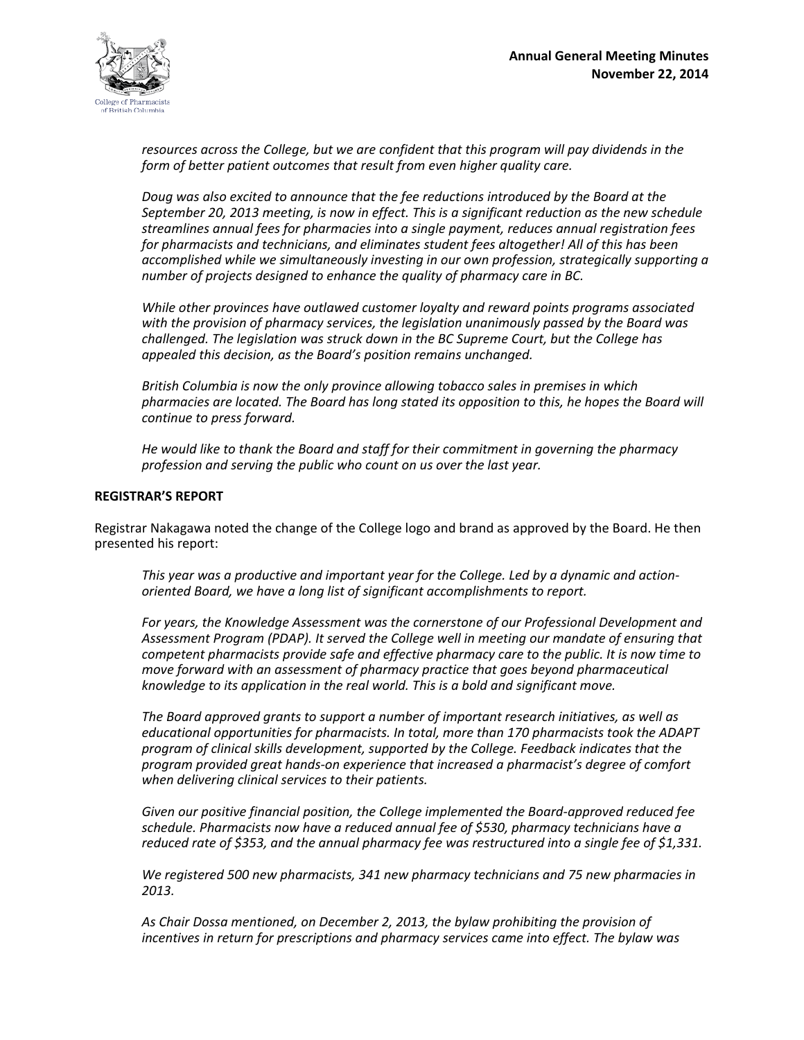

*resources across the College, but we are confident that this program will pay dividends in the form of better patient outcomes that result from even higher quality care.*

*Doug was also excited to announce that the fee reductions introduced by the Board at the September 20, 2013 meeting, is now in effect. This is a significant reduction as the new schedule streamlines annual fees for pharmacies into a single payment, reduces annual registration fees for pharmacists and technicians, and eliminates student fees altogether! All of this has been accomplished while we simultaneously investing in our own profession, strategically supporting a number of projects designed to enhance the quality of pharmacy care in BC.*

*While other provinces have outlawed customer loyalty and reward points programs associated with the provision of pharmacy services, the legislation unanimously passed by the Board was challenged. The legislation was struck down in the BC Supreme Court, but the College has appealed this decision, as the Board's position remains unchanged.* 

*British Columbia is now the only province allowing tobacco sales in premises in which pharmacies are located. The Board has long stated its opposition to this, he hopes the Board will continue to press forward.* 

*He would like to thank the Board and staff for their commitment in governing the pharmacy profession and serving the public who count on us over the last year.*

#### **REGISTRAR'S REPORT**

Registrar Nakagawa noted the change of the College logo and brand as approved by the Board. He then presented his report:

*This year was a productive and important year for the College. Led by a dynamic and actionoriented Board, we have a long list of significant accomplishments to report.*

*For years, the Knowledge Assessment was the cornerstone of our Professional Development and Assessment Program (PDAP). It served the College well in meeting our mandate of ensuring that competent pharmacists provide safe and effective pharmacy care to the public. It is now time to move forward with an assessment of pharmacy practice that goes beyond pharmaceutical knowledge to its application in the real world. This is a bold and significant move.*

*The Board approved grants to support a number of important research initiatives, as well as educational opportunities for pharmacists. In total, more than 170 pharmacists took the ADAPT program of clinical skills development, supported by the College. Feedback indicates that the program provided great hands-on experience that increased a pharmacist's degree of comfort when delivering clinical services to their patients.*

*Given our positive financial position, the College implemented the Board-approved reduced fee schedule. Pharmacists now have a reduced annual fee of \$530, pharmacy technicians have a reduced rate of \$353, and the annual pharmacy fee was restructured into a single fee of \$1,331.*

*We registered 500 new pharmacists, 341 new pharmacy technicians and 75 new pharmacies in 2013.* 

*As Chair Dossa mentioned, on December 2, 2013, the bylaw prohibiting the provision of incentives in return for prescriptions and pharmacy services came into effect. The bylaw was*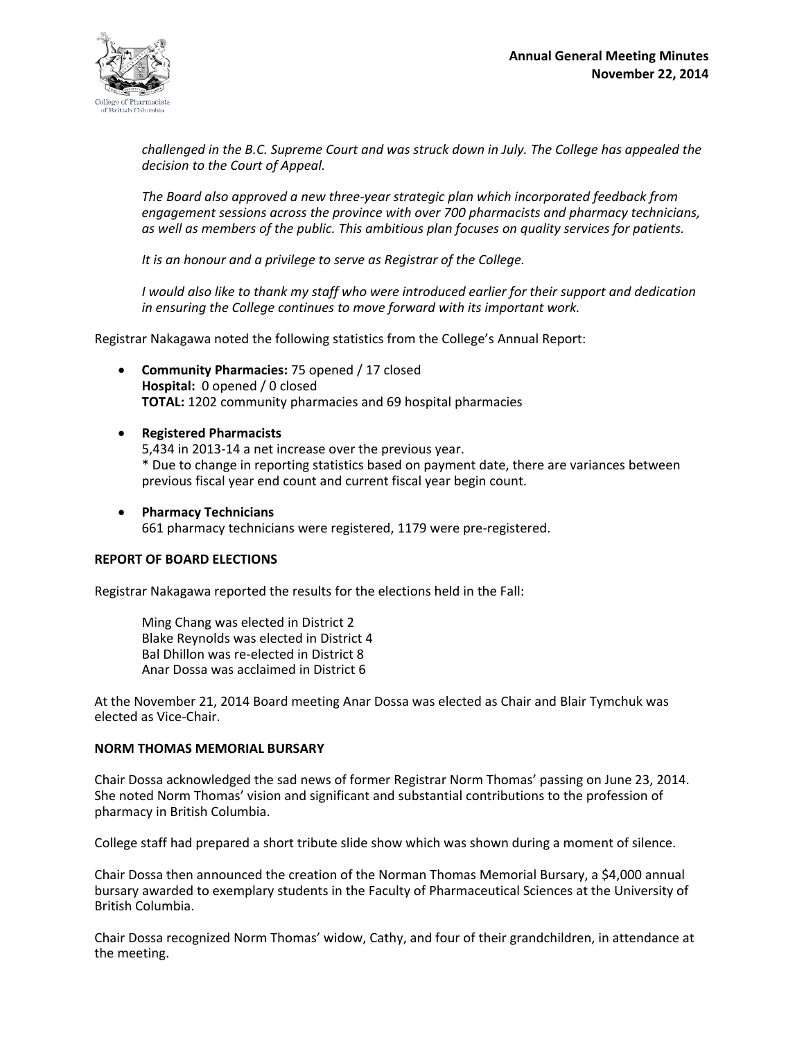

*challenged in the B.C. Supreme Court and was struck down in July. The College has appealed the decision to the Court of Appeal.* 

*The Board also approved a new three-year strategic plan which incorporated feedback from engagement sessions across the province with over 700 pharmacists and pharmacy technicians, as well as members of the public. This ambitious plan focuses on quality services for patients.*

*It is an honour and a privilege to serve as Registrar of the College.*

*I would also like to thank my staff who were introduced earlier for their support and dedication in ensuring the College continues to move forward with its important work.*

Registrar Nakagawa noted the following statistics from the College's Annual Report:

- **Community Pharmacies:** 75 opened / 17 closed **Hospital:** 0 opened / 0 closed **TOTAL:** 1202 community pharmacies and 69 hospital pharmacies
- **Registered Pharmacists**

5,434 in 2013-14 a net increase over the previous year. \* Due to change in reporting statistics based on payment date, there are variances between previous fiscal year end count and current fiscal year begin count.

• **Pharmacy Technicians** 661 pharmacy technicians were registered, 1179 were pre-registered.

# **REPORT OF BOARD ELECTIONS**

Registrar Nakagawa reported the results for the elections held in the Fall:

Ming Chang was elected in District 2 Blake Reynolds was elected in District 4 Bal Dhillon was re-elected in District 8 Anar Dossa was acclaimed in District 6

At the November 21, 2014 Board meeting Anar Dossa was elected as Chair and Blair Tymchuk was elected as Vice-Chair.

# **NORM THOMAS MEMORIAL BURSARY**

Chair Dossa acknowledged the sad news of former Registrar Norm Thomas' passing on June 23, 2014. She noted Norm Thomas' vision and significant and substantial contributions to the profession of pharmacy in British Columbia.

College staff had prepared a short tribute slide show which was shown during a moment of silence.

Chair Dossa then announced the creation of the Norman Thomas Memorial Bursary, a \$4,000 annual bursary awarded to exemplary students in the Faculty of Pharmaceutical Sciences at the University of British Columbia.

Chair Dossa recognized Norm Thomas' widow, Cathy, and four of their grandchildren, in attendance at the meeting.